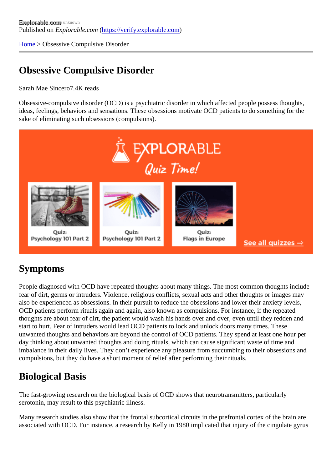[Home](https://verify.explorable.com/) > Obsessive Compulsive Disorder

# Obsessive Compulsive Disorder

### Sarah Mae Since<sup>7</sup>04K reads

Obsessive-compulsive disorder (OCD) is a psychiatric disorder in which affected people possess thoughts, ideas, feelings, behaviors and sensations. These obsessions motivate OCD patients to do something for t sake of eliminating such obsessions (compulsions).

# Symptoms

People diagnosed with OCD have repeated thoughts about many things. The most common thoughts inclu fear of dirt, germs or intruders. Violence, religious conflicts, sexual acts and other thoughts or images may also be experienced as obsessions. In their pursuit to reduce the obsessions and lower their anxiety levels OCD patients perform rituals again and again, also known as compulsions. For instance, if the repeated thoughts are about fear of dirt, the patient would wash his hands over and over, even until they redden and start to hurt. Fear of intruders would lead OCD patients to lock and unlock doors many times. These unwanted thoughts and behaviors are beyond the control of OCD patients. They spend at least one hour p day thinking about unwanted thoughts and doing rituals, which can cause significant waste of time and imbalance in their daily lives. They don't experience any pleasure from succumbing to their obsessions an compulsions, but they do have a short moment of relief after performing their rituals.

# Biological Basis

The fast-growing research on the biological basis of OCD shows that neurotransmitters, particularly serotonin, may result to this psychiatric illness.

Many research studies also show that the frontal subcortical circuits in the prefrontal cortex of the brain are associated with OCD. For instance, a research by Kelly in 1980 implicated that injury of the cingulate gyru